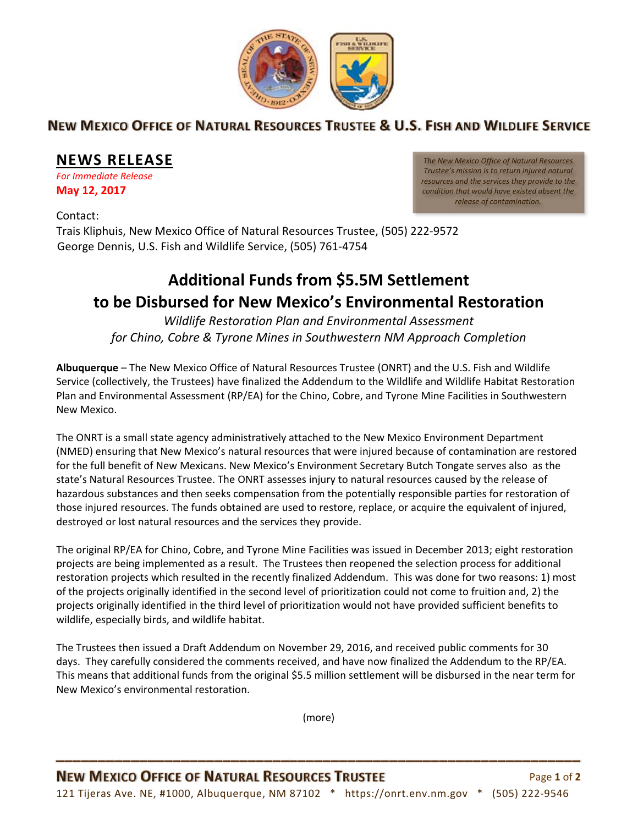

## NEW MEXICO OFFICE OF NATURAL RESOURCES TRUSTEE & U.S. FISH AND WILDLIFE SERVICE

## **NEWS RELEASE**

*For Immediate Release*  **May 12, 2017**

*The New Mexico Office of Natural Resources Trustee's mission is to return injured natural resources and the services they provide to the condition that would have existed absent the release of contamination.*

Contact: Trais Kliphuis, New Mexico Office of Natural Resources Trustee, (505) 222‐9572 George Dennis, U.S. Fish and Wildlife Service, (505) 761‐4754

## **Additional Funds from \$5.5M Settlement to be Disbursed for New Mexico's Environmental Restoration**

*Wildlife Restoration Plan and Environmental Assessment for Chino, Cobre & Tyrone Mines in Southwestern NM Approach Completion*

**Albuquerque** – The New Mexico Office of Natural Resources Trustee (ONRT) and the U.S. Fish and Wildlife Service (collectively, the Trustees) have finalized the Addendum to the Wildlife and Wildlife Habitat Restoration Plan and Environmental Assessment (RP/EA) for the Chino, Cobre, and Tyrone Mine Facilities in Southwestern New Mexico.

The ONRT is a small state agency administratively attached to the New Mexico Environment Department (NMED) ensuring that New Mexico's natural resources that were injured because of contamination are restored for the full benefit of New Mexicans. New Mexico's Environment Secretary Butch Tongate serves also as the state's Natural Resources Trustee. The ONRT assesses injury to natural resources caused by the release of hazardous substances and then seeks compensation from the potentially responsible parties for restoration of those injured resources. The funds obtained are used to restore, replace, or acquire the equivalent of injured, destroyed or lost natural resources and the services they provide.

The original RP/EA for Chino, Cobre, and Tyrone Mine Facilities was issued in December 2013; eight restoration projects are being implemented as a result. The Trustees then reopened the selection process for additional restoration projects which resulted in the recently finalized Addendum. This was done for two reasons: 1) most of the projects originally identified in the second level of prioritization could not come to fruition and, 2) the projects originally identified in the third level of prioritization would not have provided sufficient benefits to wildlife, especially birds, and wildlife habitat.

The Trustees then issued a Draft Addendum on November 29, 2016, and received public comments for 30 days. They carefully considered the comments received, and have now finalized the Addendum to the RP/EA. This means that additional funds from the original \$5.5 million settlement will be disbursed in the near term for New Mexico's environmental restoration.

(more)